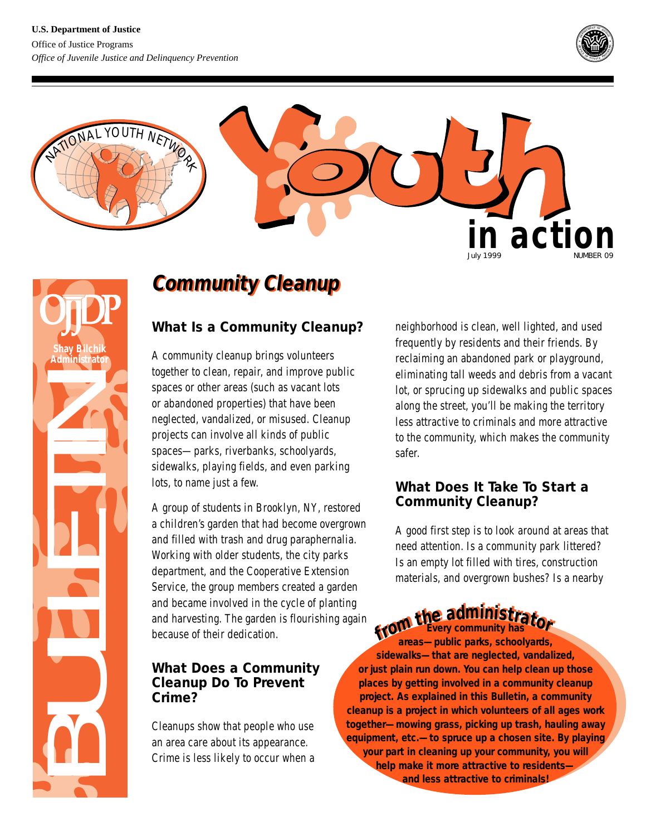



## **Community Cleanup Community Cleanup**

## **Shay Bilchik Administrator**BULLETIN **What Is a Community Cleanup?** A community cleanup brings volunteers together to clean, repair, and improve public spaces or other areas (such as vacant lots or abandoned properties) that have been neglected, vandalized, or misused. Cleanup projects can involve all kinds of public spaces—parks, riverbanks, schoolyards, sidewalks, playing fields, and even parking lots, to name just a few. A group of students in Brooklyn, NY, restored a children's garden that had become overgrown and filled with trash and drug paraphernalia. Working with older students, the city parks department, and the Cooperative Extension Service, the group members created a garden and became involved in the cycle of planting and harvesting. The garden is flourishing again because of their dedication. **What Does a Community Cleanup Do To Prevent Crime?**

Cleanups show that people who use an area care about its appearance. Crime is less likely to occur when a neighborhood is clean, well lighted, and used frequently by residents and their friends. By reclaiming an abandoned park or playground, eliminating tall weeds and debris from a vacant lot, or sprucing up sidewalks and public spaces along the street, you'll be making the territory less attractive to criminals and more attractive to the community, which makes the community safer.

## **What Does It Take To Start a Community Cleanup?**

A good first step is to look around at areas that need attention. Is a community park littered? Is an empty lot filled with tires, construction materials, and overgrown bushes? Is a nearby

# **From the administrator**

**areas—public parks, schoolyards, sidewalks—that are neglected, vandalized, or just plain run down. You can help clean up those places by getting involved in a community cleanup project. As explained in this Bulletin, a community cleanup is a project in which volunteers of all ages work together—mowing grass, picking up trash, hauling away equipment, etc.—to spruce up a chosen site. By playing your part in cleaning up your community, you will help make it more attractive to residents and less attractive to criminals!**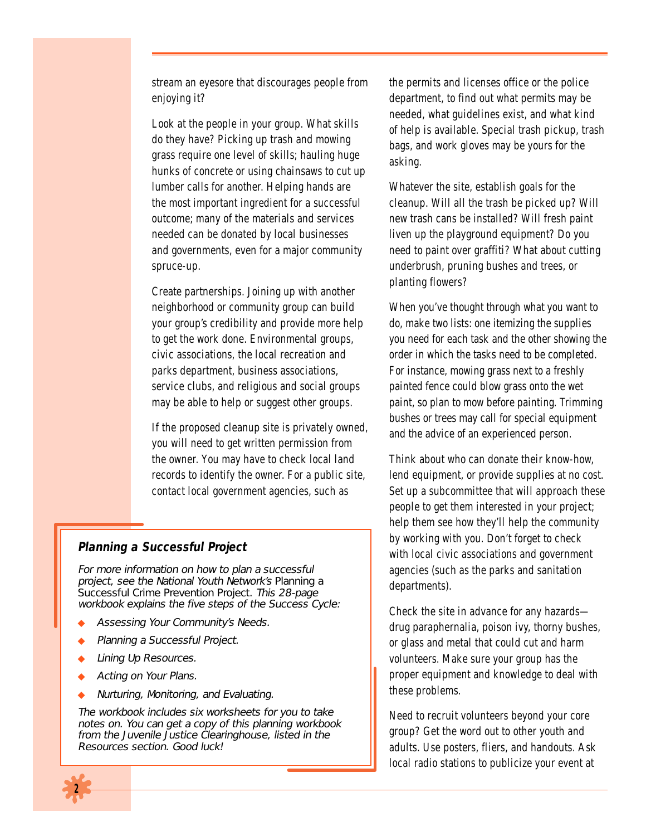stream an eyesore that discourages people from enjoying it?

Look at the people in your group. What skills do they have? Picking up trash and mowing grass require one level of skills; hauling huge hunks of concrete or using chainsaws to cut up lumber calls for another. Helping hands are the most important ingredient for a successful outcome; many of the materials and services needed can be donated by local businesses and governments, even for a major community spruce-up.

Create partnerships. Joining up with another neighborhood or community group can build your group's credibility and provide more help to get the work done. Environmental groups, civic associations, the local recreation and parks department, business associations, service clubs, and religious and social groups may be able to help or suggest other groups.

If the proposed cleanup site is privately owned, you will need to get written permission from the owner. You may have to check local land records to identify the owner. For a public site, contact local government agencies, such as

### **Planning a Successful Project**

For more information on how to plan a successful project, see the National Youth Network's Planning a Successful Crime Prevention Project. This 28-page workbook explains the five steps of the Success Cycle:

- Assessing Your Community's Needs.
- Planning a Successful Project.
- **Lining Up Resources.**
- Acting on Your Plans.
- Nurturing, Monitoring, and Evaluating.

The workbook includes six worksheets for you to take notes on. You can get a copy of this planning workbook from the Juvenile Justice Clearinghouse, listed in the Resources section. Good luck!



Whatever the site, establish goals for the cleanup. Will all the trash be picked up? Will new trash cans be installed? Will fresh paint liven up the playground equipment? Do you need to paint over graffiti? What about cutting underbrush, pruning bushes and trees, or planting flowers?

When you've thought through what you want to do, make two lists: one itemizing the supplies you need for each task and the other showing the order in which the tasks need to be completed. For instance, mowing grass next to a freshly painted fence could blow grass onto the wet paint, so plan to mow before painting. Trimming bushes or trees may call for special equipment and the advice of an experienced person.

Think about who can donate their know-how, lend equipment, or provide supplies at no cost. Set up a subcommittee that will approach these people to get them interested in your project; help them see how they'll help the community by working with you. Don't forget to check with local civic associations and government agencies (such as the parks and sanitation departments).

Check the site in advance for any hazards drug paraphernalia, poison ivy, thorny bushes, or glass and metal that could cut and harm volunteers. Make sure your group has the proper equipment and knowledge to deal with these problems.

Need to recruit volunteers beyond your core group? Get the word out to other youth and adults. Use posters, fliers, and handouts. Ask local radio stations to publicize your event at

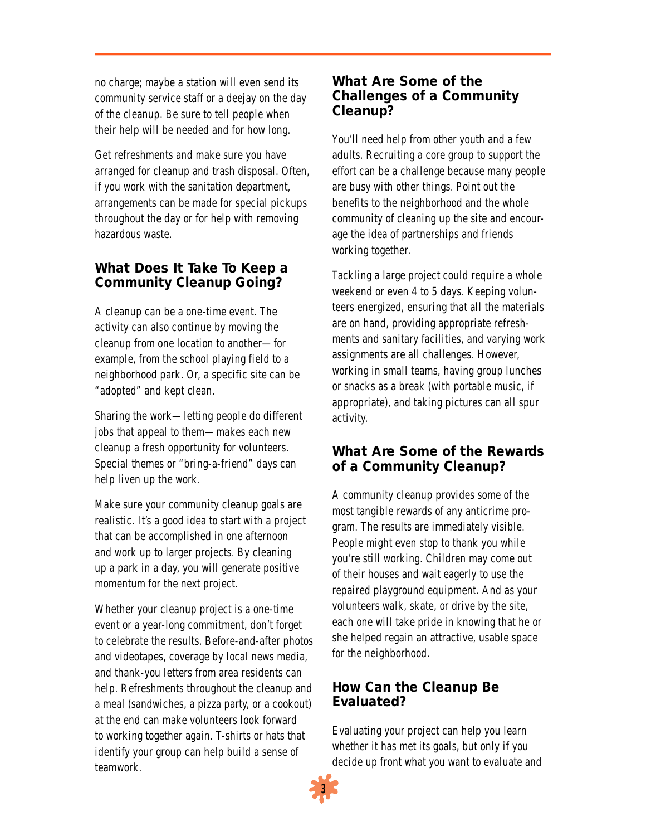no charge; maybe a station will even send its community service staff or a deejay on the day of the cleanup. Be sure to tell people when their help will be needed and for how long.

Get refreshments and make sure you have arranged for cleanup and trash disposal. Often, if you work with the sanitation department, arrangements can be made for special pickups throughout the day or for help with removing hazardous waste.

## **What Does It Take To Keep a Community Cleanup Going?**

A cleanup can be a one-time event. The activity can also continue by moving the cleanup from one location to another—for example, from the school playing field to a neighborhood park. Or, a specific site can be "adopted" and kept clean.

Sharing the work—letting people do different jobs that appeal to them—makes each new cleanup a fresh opportunity for volunteers. Special themes or "bring-a-friend" days can help liven up the work.

Make sure your community cleanup goals are realistic. It's a good idea to start with a project that can be accomplished in one afternoon and work up to larger projects. By cleaning up a park in a day, you will generate positive momentum for the next project.

Whether your cleanup project is a one-time event or a year-long commitment, don't forget to celebrate the results. Before-and-after photos and videotapes, coverage by local news media, and thank-you letters from area residents can help. Refreshments throughout the cleanup and a meal (sandwiches, a pizza party, or a cookout) at the end can make volunteers look forward to working together again. T-shirts or hats that identify your group can help build a sense of teamwork.

## **What Are Some of the Challenges of a Community Cleanup?**

You'll need help from other youth and a few adults. Recruiting a core group to support the effort can be a challenge because many people are busy with other things. Point out the benefits to the neighborhood and the whole community of cleaning up the site and encourage the idea of partnerships and friends working together.

Tackling a large project could require a whole weekend or even 4 to 5 days. Keeping volunteers energized, ensuring that all the materials are on hand, providing appropriate refreshments and sanitary facilities, and varying work assignments are all challenges. However, working in small teams, having group lunches or snacks as a break (with portable music, if appropriate), and taking pictures can all spur activity.

## **What Are Some of the Rewards of a Community Cleanup?**

A community cleanup provides some of the most tangible rewards of any anticrime program. The results are immediately visible. People might even stop to thank you while you're still working. Children may come out of their houses and wait eagerly to use the repaired playground equipment. And as your volunteers walk, skate, or drive by the site, each one will take pride in knowing that he or she helped regain an attractive, usable space for the neighborhood.

## **How Can the Cleanup Be Evaluated?**

Evaluating your project can help you learn whether it has met its goals, but only if you decide up front what you want to evaluate and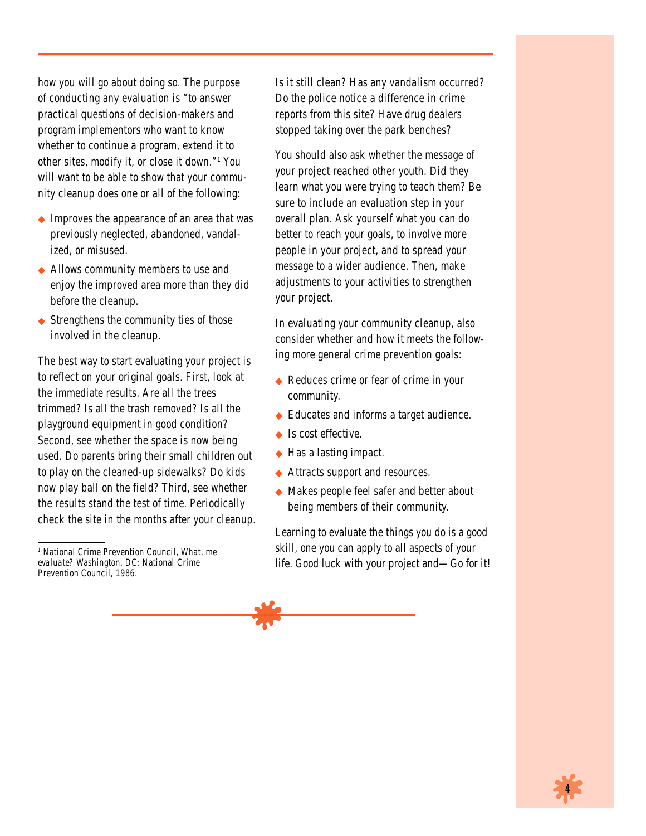how you will go about doing so. The purpose of conducting any evaluation is "to answer practical questions of decision-makers and program implementors who want to know whether to continue a program, extend it to other sites, modify it, or close it down."1 You will want to be able to show that your community cleanup does one or all of the following:

- ◆ Improves the appearance of an area that was previously neglected, abandoned, vandalized, or misused.
- ◆ Allows community members to use and enjoy the improved area more than they did before the cleanup.
- $\blacklozenge$  Strengthens the community ties of those involved in the cleanup.

The best way to start evaluating your project is to reflect on your original goals. First, look at the immediate results. Are all the trees trimmed? Is all the trash removed? Is all the playground equipment in good condition? Second, see whether the space is now being used. Do parents bring their small children out to play on the cleaned-up sidewalks? Do kids now play ball on the field? Third, see whether the results stand the test of time. Periodically check the site in the months after your cleanup. Is it still clean? Has any vandalism occurred? Do the police notice a difference in crime reports from this site? Have drug dealers stopped taking over the park benches?

You should also ask whether the message of your project reached other youth. Did they learn what you were trying to teach them? Be sure to include an evaluation step in your overall plan. Ask yourself what you can do better to reach your goals, to involve more people in your project, and to spread your message to a wider audience. Then, make adjustments to your activities to strengthen your project.

In evaluating your community cleanup, also consider whether and how it meets the following more general crime prevention goals:

- ◆ Reduces crime or fear of crime in your community.
- ◆ Educates and informs a target audience.
- ◆ Is cost effective.
- ◆ Has a lasting impact.
- ◆ Attracts support and resources.
- ◆ Makes people feel safer and better about being members of their community.

Learning to evaluate the things you do is a good skill, one you can apply to all aspects of your life. Good luck with your project and—Go for it!



<sup>1</sup> National Crime Prevention Council, *What, me evaluate?* Washington, DC: National Crime Prevention Council, 1986.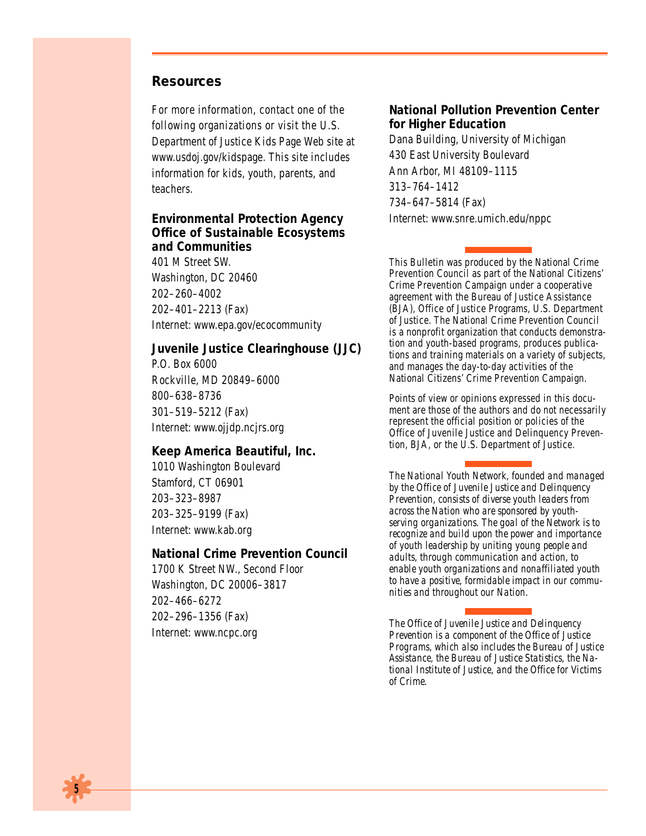#### **Resources**

For more information, contact one of the following organizations or visit the U.S. Department of Justice Kids Page Web site at www.usdoj.gov/kidspage. This site includes information for kids, youth, parents, and teachers.

### **Environmental Protection Agency Office of Sustainable Ecosystems and Communities** 401 M Street SW. Washington, DC 20460 202–260–4002 202–401–2213 (Fax) Internet: www.epa.gov/ecocommunity

**Juvenile Justice Clearinghouse (JJC)** P.O. Box 6000 Rockville, MD 20849–6000 800–638–8736 301–519–5212 (Fax) Internet: www.ojjdp.ncjrs.org

#### **Keep America Beautiful, Inc.**

1010 Washington Boulevard Stamford, CT 06901 203–323–8987 203–325–9199 (Fax) Internet: www.kab.org

#### **National Crime Prevention Council**

1700 K Street NW., Second Floor Washington, DC 20006–3817 202–466–6272 202–296–1356 (Fax) Internet: www.ncpc.org

#### **National Pollution Prevention Center for Higher Education** Dana Building, University of Michigan

430 East University Boulevard Ann Arbor, MI 48109–1115 313–764–1412 734–647–5814 (Fax) Internet: www.snre.umich.edu/nppc

This Bulletin was produced by the National Crime Prevention Council as part of the National Citizens' Crime Prevention Campaign under a cooperative agreement with the Bureau of Justice Assistance (BJA), Office of Justice Programs, U.S. Department of Justice. The National Crime Prevention Council is a nonprofit organization that conducts demonstration and youth-based programs, produces publications and training materials on a variety of subjects, and manages the day-to-day activities of the National Citizens' Crime Prevention Campaign.

Points of view or opinions expressed in this document are those of the authors and do not necessarily represent the official position or policies of the Office of Juvenile Justice and Delinquency Prevention, BJA, or the U.S. Department of Justice.

*The National Youth Network, founded and managed by the Office of Juvenile Justice and Delinquency Prevention, consists of diverse youth leaders from across the Nation who are sponsored by youthserving organizations. The goal of the Network is to recognize and build upon the power and importance of youth leadership by uniting young people and adults, through communication and action, to enable youth organizations and nonaffiliated youth to have a positive, formidable impact in our communities and throughout our Nation.*

*The Office of Juvenile Justice and Delinquency Prevention is a component of the Office of Justice Programs, which also includes the Bureau of Justice Assistance, the Bureau of Justice Statistics, the National Institute of Justice, and the Office for Victims of Crime.*